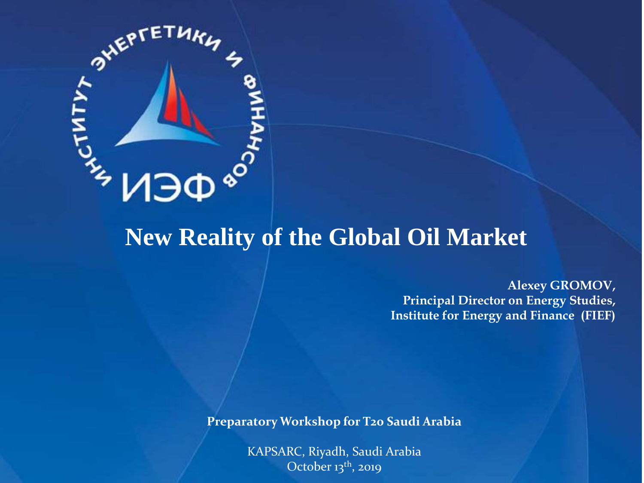

### **New Reality of the Global Oil Market**

**Alexey GROMOV, Principal Director on Energy Studies, Institute for Energy and Finance (FIEF)**

**Preparatory Workshop for T20 Saudi Arabia**

KAPSARC, Riyadh, Saudi Arabia October  $13<sup>th</sup>$ , 2019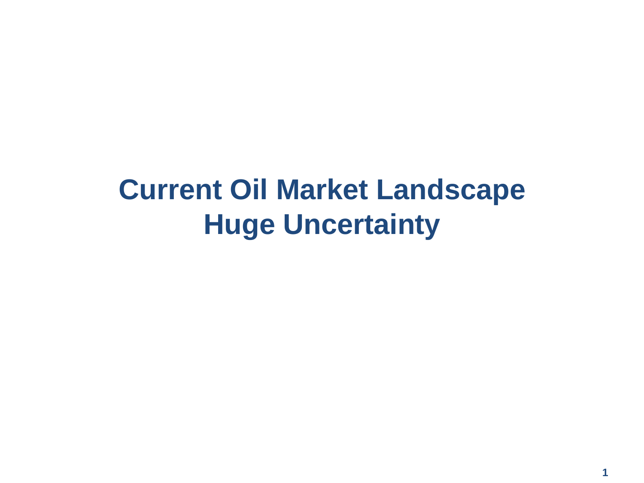# **Current Oil Market Landscape Huge Uncertainty**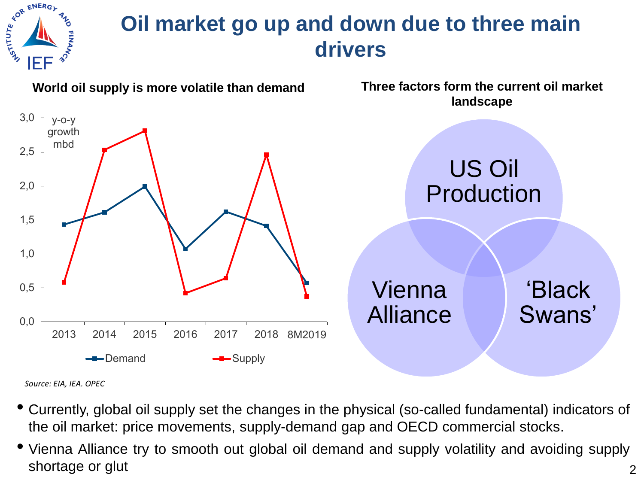

# **Oil market go up and down due to three main drivers**



*Source: EIA, IEA. OPEC*

- Currently, global oil supply set the changes in the physical (so-called fundamental) indicators of the oil market: price movements, supply-demand gap and OECD commercial stocks.
- Vienna Alliance try to smooth out global oil demand and supply volatility and avoiding supply shortage or glut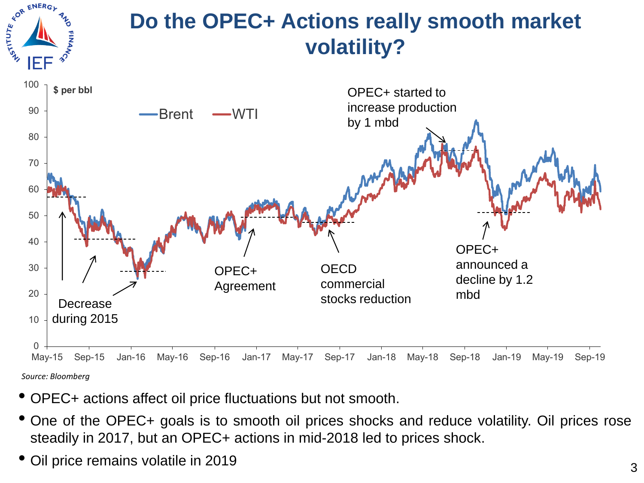

# **Do the OPEC+ Actions really smooth market volatility?**



- OPEC+ actions affect oil price fluctuations but not smooth.
- One of the OPEC+ goals is to smooth oil prices shocks and reduce volatility. Oil prices rose steadily in 2017, but an OPEC+ actions in mid-2018 led to prices shock.
- Oil price remains volatile in <sup>2019</sup>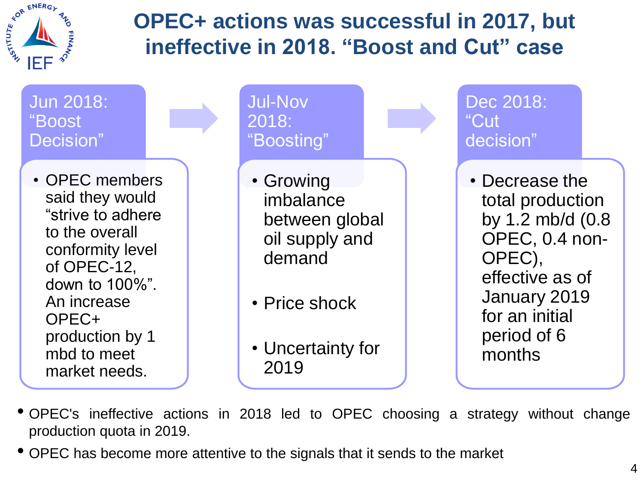

# **OPEC+ actions was successful in 2017, but ineffective in 2018. "Boost and Cut" case**



- OPEC's ineffective actions in <sup>2018</sup> led to OPEC choosing <sup>a</sup> strategy without change production quota in 2019.
- OPEC has become more attentive to the signals that it sends to the market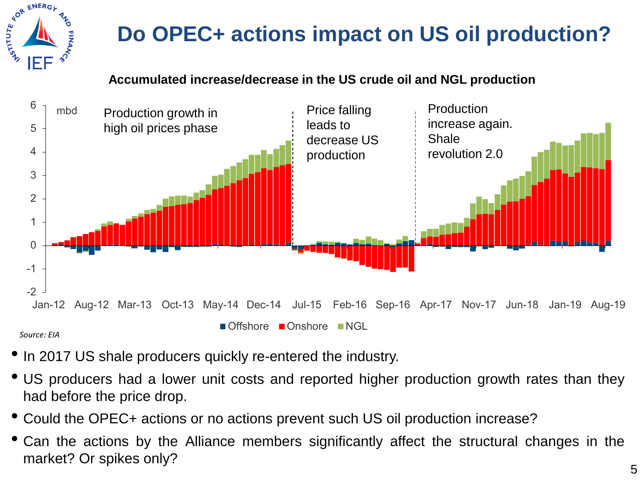

# **Do OPEC+ actions impact on US oil production?**

#### **Accumulated increase/decrease in the US crude oil and NGL production**



*Source: EIA*

- In 2017 US shale producers quickly re-entered the industry.
- US producers had a lower unit costs and reported higher production growth rates than they had before the price drop.
- Could the OPEC+ actions or no actions prevent such US oil production increase?
- Can the actions by the Alliance members significantly affect the structural changes in the market? Or spikes only?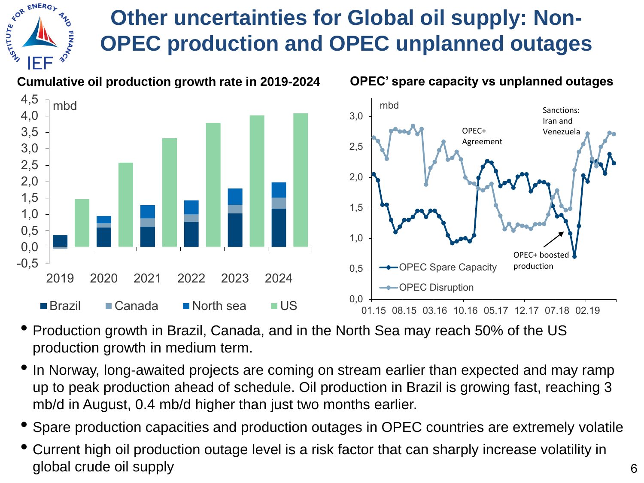# **Other uncertainties for Global oil supply: Non-OPEC production and OPEC unplanned outages**

**FOR ENERGY** 

IEE

**ALILITIES** 



- Production growth in Brazil, Canada, and in the North Sea may reach 50% of the US production growth in medium term.
- In Norway, long-awaited projects are coming on stream earlier than expected and may ramp up to peak production ahead of schedule. Oil production in Brazil is growing fast, reaching 3 mb/d in August, 0.4 mb/d higher than just two months earlier.
- Spare production capacities and production outages in OPEC countries are extremely volatile
- Current high oil production outage level is a risk factor that can sharply increase volatility in global crude oil supply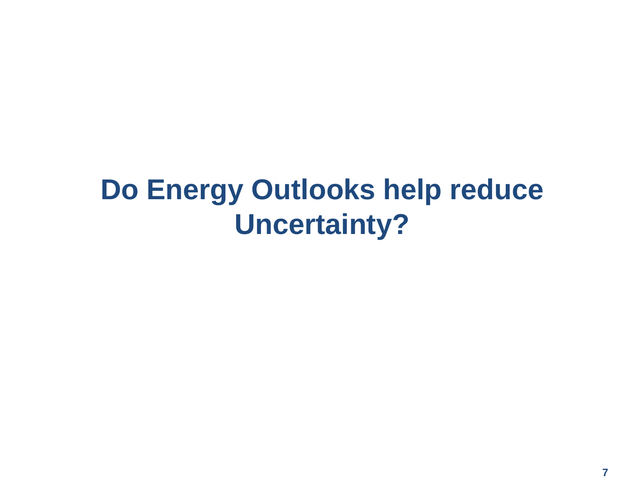# **Do Energy Outlooks help reduce Uncertainty?**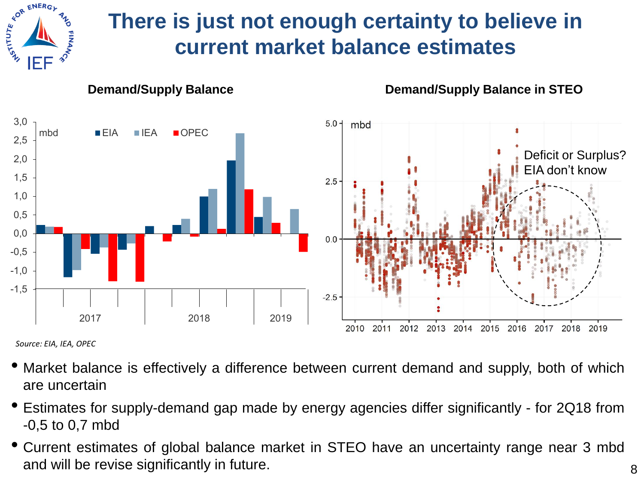

# **There is just not enough certainty to believe in current market balance estimates**



*Source: EIA, IEA, OPEC*

- Market balance is effectively <sup>a</sup> difference between current demand and supply, both of which are uncertain
- Estimates for supply-demand gap made by energy agencies differ significantly for 2Q18 from -0,5 to 0,7 mbd
- Current estimates of global balance market in STEO have an uncertainty range near <sup>3</sup> mbd and will be revise significantly in future.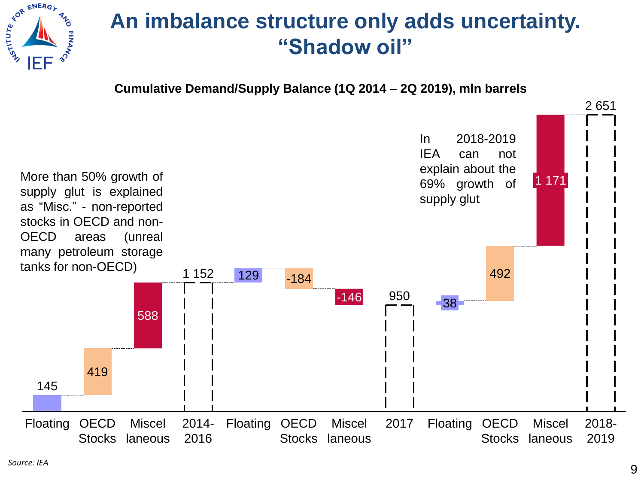

### **An imbalance structure only adds uncertainty. "Shadow oil"**

**Cumulative Demand/Supply Balance (1Q 2014 – 2Q 2019), mln barrels**

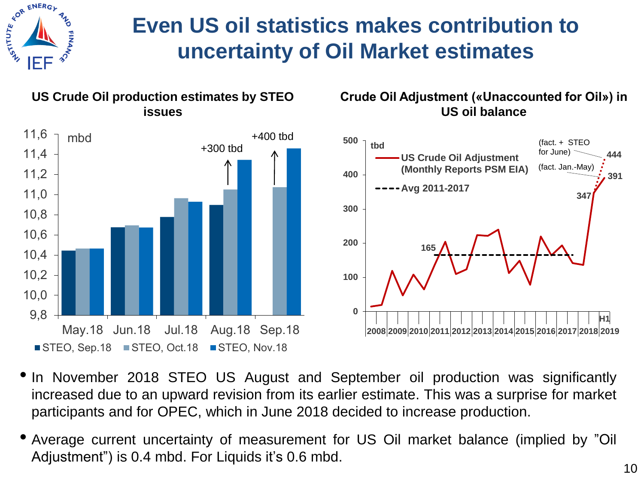

# **Even US oil statistics makes contribution to uncertainty of Oil Market estimates**



#### **Crude Oil Adjustment («Unaccounted for Oil») in US oil balance**



- In November 2018 STEO US August and September oil production was significantly increased due to an upward revision from its earlier estimate. This was a surprise for market participants and for OPEC, which in June 2018 decided to increase production.
- Average current uncertainty of measurement for US Oil market balance (implied by "Oil Adjustment") is 0.4 mbd. For Liquids it's 0.6 mbd.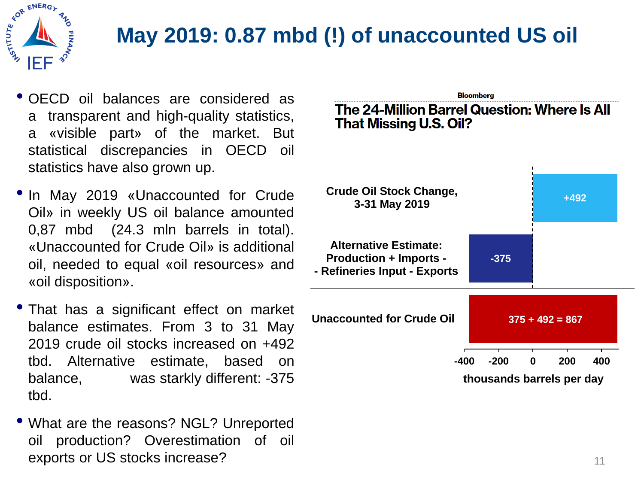

# **May 2019: 0.87 mbd (!) of unaccounted US oil**

- OECD oil balances are considered as a transparent and high-quality statistics, a «visible part» of the market. But statistical discrepancies in OECD oil statistics have also grown up.
- In May 2019 «Unaccounted for Crude Oil» in weekly US oil balance amounted 0,87 mbd (24.3 mln barrels in total). «Unaccounted for Crude Oil» is additional oil, needed to equal «oil resources» and «oil disposition».
- That has a significant effect on market balance estimates. From 3 to 31 May 2019 crude oil stocks increased on +492 tbd. Alternative estimate, based on balance, was starkly different: -375 tbd.
- What are the reasons? NGL? Unreported oil production? Overestimation of oil exports or US stocks increase?

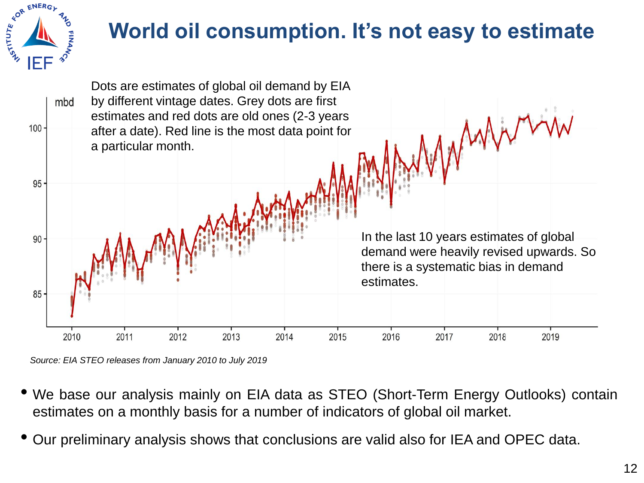

# **World oil consumption. It's not easy to estimate**



*Source: EIA STEO releases from January 2010 to July 2019* 

- We base our analysis mainly on EIA data as STEO (Short-Term Energy Outlooks) contain estimates on a monthly basis for a number of indicators of global oil market.
- Our preliminary analysis shows that conclusions are valid also for IEA and OPEC data.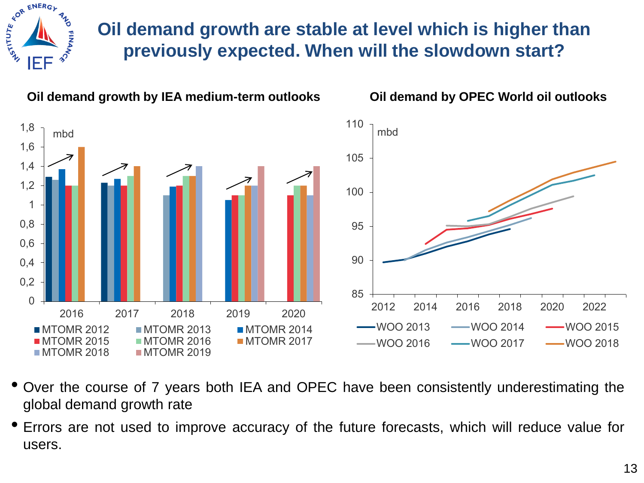

#### **Oil demand growth are stable at level which is higher than previously expected. When will the slowdown start?**



- Over the course of <sup>7</sup> years both IEA and OPEC have been consistently underestimating the global demand growth rate
- Errors are not used to improve accuracy of the future forecasts, which will reduce value for users.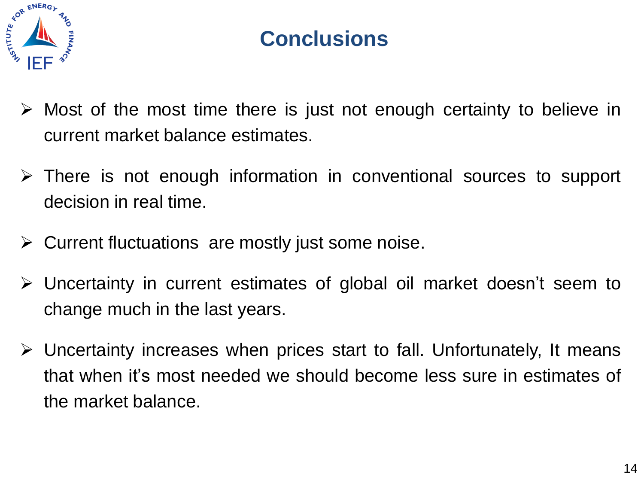

# **Conclusions**

- $\triangleright$  Most of the most time there is just not enough certainty to believe in current market balance estimates.
- $\triangleright$  There is not enough information in conventional sources to support decision in real time.
- $\triangleright$  Current fluctuations are mostly just some noise.
- Uncertainty in current estimates of global oil market doesn't seem to change much in the last years.
- $\triangleright$  Uncertainty increases when prices start to fall. Unfortunately, It means that when it's most needed we should become less sure in estimates of the market balance.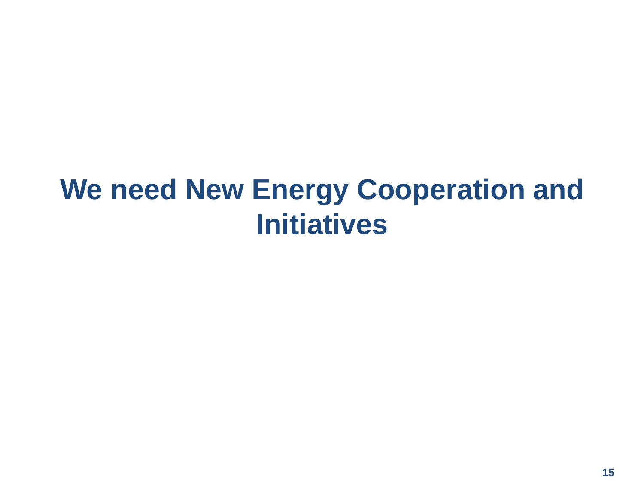# **We need New Energy Cooperation and Initiatives**